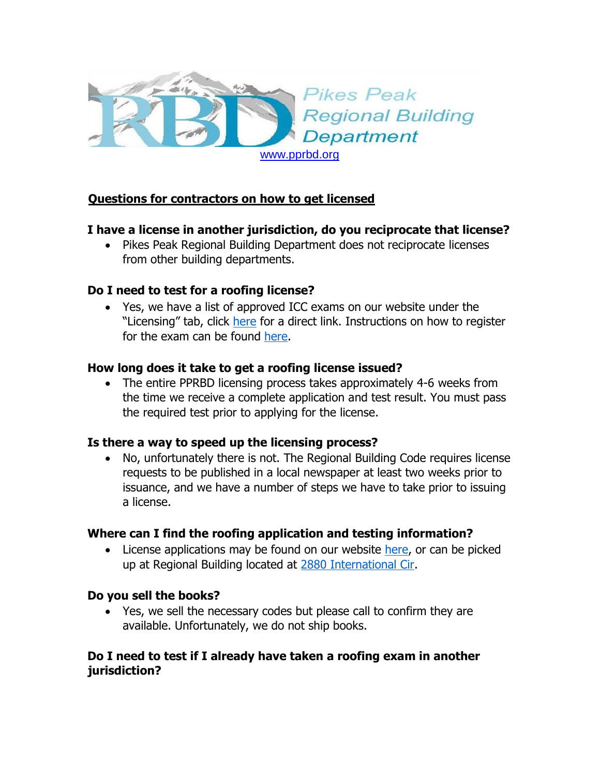

# **Questions for contractors on how to get licensed**

### **I have a license in another jurisdiction, do you reciprocate that license?**

• Pikes Peak Regional Building Department does not reciprocate licenses from other building departments.

### **Do I need to test for a roofing license?**

 Yes, we have a list of approved ICC exams on our website under the "Licensing" tab, click [here](http://www.pprbd.org/contfiles/ContLicense.aspx) for a direct link. Instructions on how to register for the exam can be found [here.](http://www.pprbd.org/contfiles/ContLicense.aspx)

### **How long does it take to get a roofing license issued?**

• The entire PPRBD licensing process takes approximately 4-6 weeks from the time we receive a complete application and test result. You must pass the required test prior to applying for the license.

#### **Is there a way to speed up the licensing process?**

 No, unfortunately there is not. The Regional Building Code requires license requests to be published in a local newspaper at least two weeks prior to issuance, and we have a number of steps we have to take prior to issuing a license.

#### **Where can I find the roofing application and testing information?**

• License applications may be found on our website [here,](http://www.pprbd.org/contfiles/ContLicense.aspx) or can be picked up at Regional Building located at [2880 International Cir.](https://www.google.com/maps/place/2880+International+Cir,+Colorado+Springs,+CO+80910/@38.8264318,-104.7926108,17z/data=!4m5!3m4!1s0x87134453aead9b51:0xc645339a139b1969!8m2!3d38.8264318!4d-104.7904221)

#### **Do you sell the books?**

 Yes, we sell the necessary codes but please call to confirm they are available. Unfortunately, we do not ship books.

## **Do I need to test if I already have taken a roofing exam in another jurisdiction?**